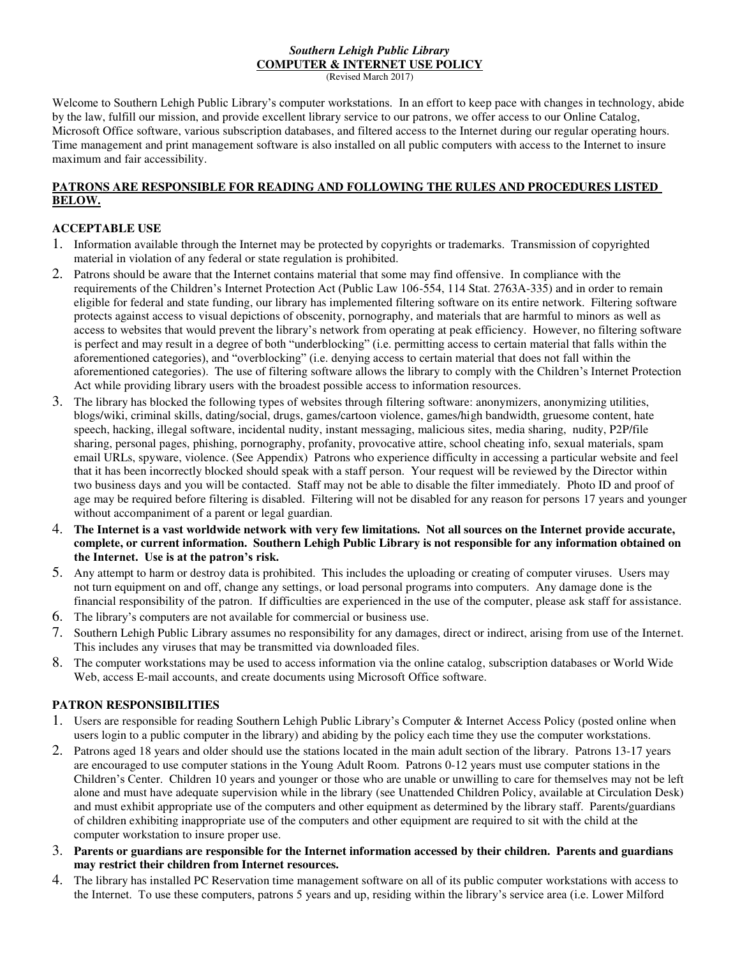#### *Southern Lehigh Public Library*  **COMPUTER & INTERNET USE POLICY**  (Revised March 2017)

Welcome to Southern Lehigh Public Library's computer workstations. In an effort to keep pace with changes in technology, abide by the law, fulfill our mission, and provide excellent library service to our patrons, we offer access to our Online Catalog, Microsoft Office software, various subscription databases, and filtered access to the Internet during our regular operating hours. Time management and print management software is also installed on all public computers with access to the Internet to insure maximum and fair accessibility.

### **PATRONS ARE RESPONSIBLE FOR READING AND FOLLOWING THE RULES AND PROCEDURES LISTED BELOW.**

# **ACCEPTABLE USE**

- 1. Information available through the Internet may be protected by copyrights or trademarks. Transmission of copyrighted material in violation of any federal or state regulation is prohibited.
- 2. Patrons should be aware that the Internet contains material that some may find offensive. In compliance with the requirements of the Children's Internet Protection Act (Public Law 106-554, 114 Stat. 2763A-335) and in order to remain eligible for federal and state funding, our library has implemented filtering software on its entire network. Filtering software protects against access to visual depictions of obscenity, pornography, and materials that are harmful to minors as well as access to websites that would prevent the library's network from operating at peak efficiency. However, no filtering software is perfect and may result in a degree of both "underblocking" (i.e. permitting access to certain material that falls within the aforementioned categories), and "overblocking" (i.e. denying access to certain material that does not fall within the aforementioned categories). The use of filtering software allows the library to comply with the Children's Internet Protection Act while providing library users with the broadest possible access to information resources.
- 3. The library has blocked the following types of websites through filtering software: anonymizers, anonymizing utilities, blogs/wiki, criminal skills, dating/social, drugs, games/cartoon violence, games/high bandwidth, gruesome content, hate speech, hacking, illegal software, incidental nudity, instant messaging, malicious sites, media sharing, nudity, P2P/file sharing, personal pages, phishing, pornography, profanity, provocative attire, school cheating info, sexual materials, spam email URLs, spyware, violence. (See Appendix) Patrons who experience difficulty in accessing a particular website and feel that it has been incorrectly blocked should speak with a staff person. Your request will be reviewed by the Director within two business days and you will be contacted. Staff may not be able to disable the filter immediately. Photo ID and proof of age may be required before filtering is disabled. Filtering will not be disabled for any reason for persons 17 years and younger without accompaniment of a parent or legal guardian.
- 4. **The Internet is a vast worldwide network with very few limitations. Not all sources on the Internet provide accurate, complete, or current information. Southern Lehigh Public Library is not responsible for any information obtained on the Internet. Use is at the patron's risk.**
- 5. Any attempt to harm or destroy data is prohibited. This includes the uploading or creating of computer viruses. Users may not turn equipment on and off, change any settings, or load personal programs into computers. Any damage done is the financial responsibility of the patron. If difficulties are experienced in the use of the computer, please ask staff for assistance.
- 6. The library's computers are not available for commercial or business use.
- 7. Southern Lehigh Public Library assumes no responsibility for any damages, direct or indirect, arising from use of the Internet. This includes any viruses that may be transmitted via downloaded files.
- 8. The computer workstations may be used to access information via the online catalog, subscription databases or World Wide Web, access E-mail accounts, and create documents using Microsoft Office software.

# **PATRON RESPONSIBILITIES**

- 1. Users are responsible for reading Southern Lehigh Public Library's Computer & Internet Access Policy (posted online when users login to a public computer in the library) and abiding by the policy each time they use the computer workstations.
- 2. Patrons aged 18 years and older should use the stations located in the main adult section of the library. Patrons 13-17 years are encouraged to use computer stations in the Young Adult Room. Patrons 0-12 years must use computer stations in the Children's Center. Children 10 years and younger or those who are unable or unwilling to care for themselves may not be left alone and must have adequate supervision while in the library (see Unattended Children Policy, available at Circulation Desk) and must exhibit appropriate use of the computers and other equipment as determined by the library staff. Parents/guardians of children exhibiting inappropriate use of the computers and other equipment are required to sit with the child at the computer workstation to insure proper use.
- 3. **Parents or guardians are responsible for the Internet information accessed by their children. Parents and guardians may restrict their children from Internet resources.**
- 4. The library has installed PC Reservation time management software on all of its public computer workstations with access to the Internet. To use these computers, patrons 5 years and up, residing within the library's service area (i.e. Lower Milford